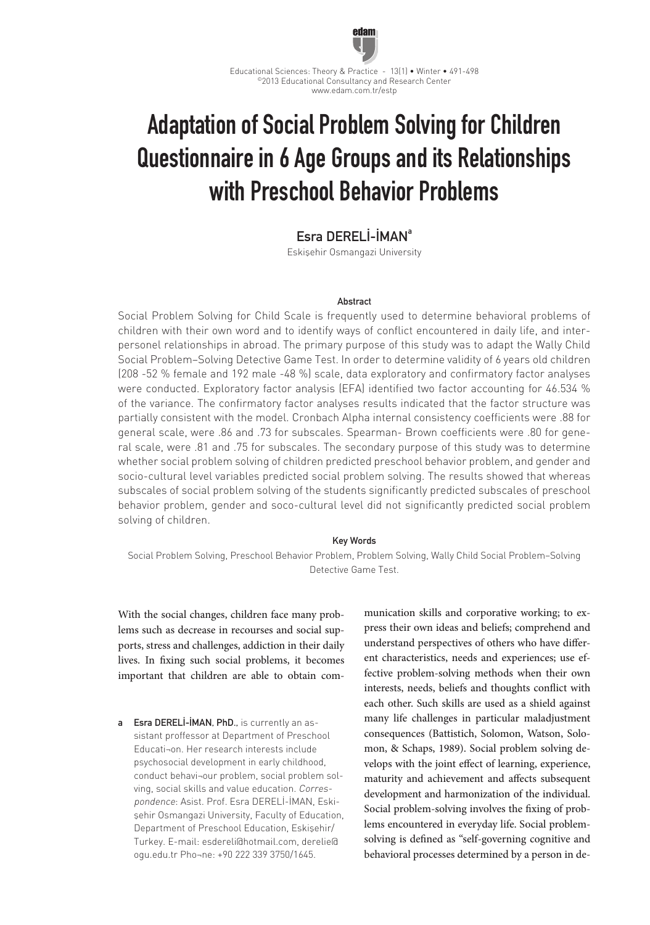

Educational Sciences: Theory & Practice - 13(1) • Winter • 491-498 ©2013 Educational Consultancy and Research Center www.edam.com.tr/estp

# Adaptation of Social Problem Solving for Children Questionnaire in 6 Age Groups and its Relationships with Preschool Behavior Problems

# Esra DERELİ-İMANa

Eskişehir Osmangazi University

#### Abstract

Social Problem Solving for Child Scale is frequently used to determine behavioral problems of children with their own word and to identify ways of conflict encountered in daily life, and interpersonel relationships in abroad. The primary purpose of this study was to adapt the Wally Child Social Problem–Solving Detective Game Test. In order to determine validity of 6 years old children (208 -52 % female and 192 male -48 %) scale, data exploratory and confirmatory factor analyses were conducted. Exploratory factor analysis (EFA) identified two factor accounting for 46.534 % of the variance. The confirmatory factor analyses results indicated that the factor structure was partially consistent with the model. Cronbach Alpha internal consistency coefficients were .88 for general scale, were .86 and .73 for subscales. Spearman- Brown coefficients were .80 for general scale, were .81 and .75 for subscales. The secondary purpose of this study was to determine whether social problem solving of children predicted preschool behavior problem, and gender and socio-cultural level variables predicted social problem solving. The results showed that whereas subscales of social problem solving of the students significantly predicted subscales of preschool behavior problem, gender and soco-cultural level did not significantly predicted social problem solving of children.

#### Key Words

Social Problem Solving, Preschool Behavior Problem, Problem Solving, Wally Child Social Problem–Solving Detective Game Test.

With the social changes, children face many problems such as decrease in recourses and social supports, stress and challenges, addiction in their daily lives. In fixing such social problems, it becomes important that children are able to obtain com-

a Esra DERELİ-İMAN, PhD., is currently an assistant proffessor at Department of Preschool Educati¬on. Her research interests include psychosocial development in early childhood, conduct behavi¬our problem, social problem solving, social skills and value education. Correspondence: Asist. Prof. Esra DERELİ-İMAN, Eskişehir Osmangazi University, Faculty of Education, Department of Preschool Education, Eskişehir/ Turkey. E-mail: esdereli@hotmail.com, derelie@ ogu.edu.tr Pho¬ne: +90 222 339 3750/1645.

munication skills and corporative working; to express their own ideas and beliefs; comprehend and understand perspectives of others who have different characteristics, needs and experiences; use effective problem-solving methods when their own interests, needs, beliefs and thoughts conflict with each other. Such skills are used as a shield against many life challenges in particular maladjustment consequences (Battistich, Solomon, Watson, Solomon, & Schaps, 1989). Social problem solving develops with the joint effect of learning, experience, maturity and achievement and affects subsequent development and harmonization of the individual. Social problem-solving involves the fixing of problems encountered in everyday life. Social problemsolving is defined as "self-governing cognitive and behavioral processes determined by a person in de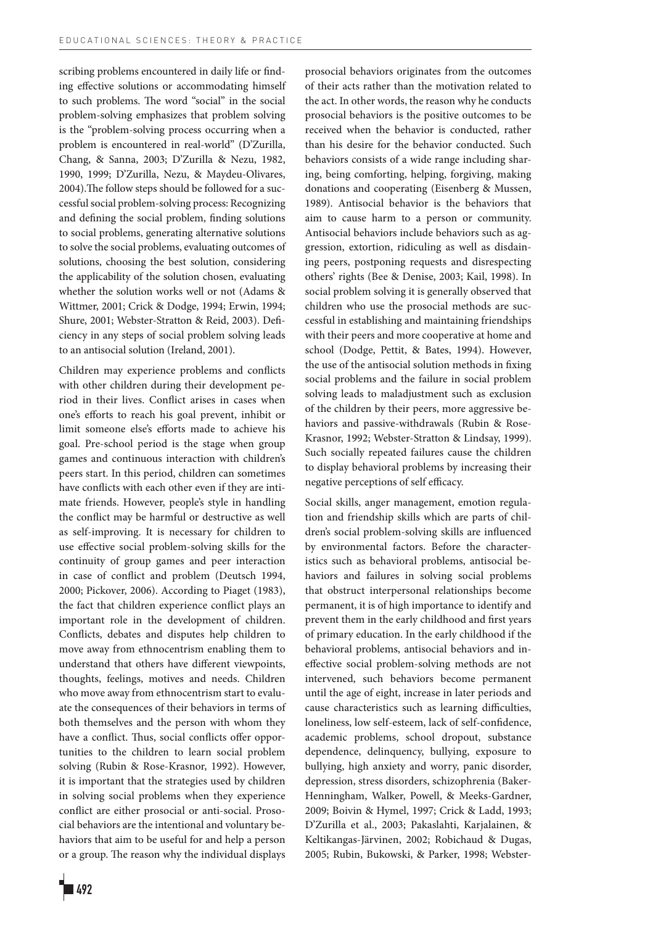scribing problems encountered in daily life or finding effective solutions or accommodating himself to such problems. The word "social" in the social problem-solving emphasizes that problem solving is the "problem-solving process occurring when a problem is encountered in real-world" (D'Zurilla, Chang, & Sanna, 2003; D'Zurilla & Nezu, 1982, 1990, 1999; D'Zurilla, Nezu, & Maydeu-Olivares, 2004).The follow steps should be followed for a successful social problem-solving process: Recognizing and defining the social problem, finding solutions to social problems, generating alternative solutions to solve the social problems, evaluating outcomes of solutions, choosing the best solution, considering the applicability of the solution chosen, evaluating whether the solution works well or not (Adams & Wittmer, 2001; Crick & Dodge, 1994; Erwin, 1994; Shure, 2001; Webster-Stratton & Reid, 2003). Deficiency in any steps of social problem solving leads to an antisocial solution (Ireland, 2001).

Children may experience problems and conflicts with other children during their development period in their lives. Conflict arises in cases when one's efforts to reach his goal prevent, inhibit or limit someone else's efforts made to achieve his goal. Pre-school period is the stage when group games and continuous interaction with children's peers start. In this period, children can sometimes have conflicts with each other even if they are intimate friends. However, people's style in handling the conflict may be harmful or destructive as well as self-improving. It is necessary for children to use effective social problem-solving skills for the continuity of group games and peer interaction in case of conflict and problem (Deutsch 1994, 2000; Pickover, 2006). According to Piaget (1983), the fact that children experience conflict plays an important role in the development of children. Conflicts, debates and disputes help children to move away from ethnocentrism enabling them to understand that others have different viewpoints, thoughts, feelings, motives and needs. Children who move away from ethnocentrism start to evaluate the consequences of their behaviors in terms of both themselves and the person with whom they have a conflict. Thus, social conflicts offer opportunities to the children to learn social problem solving (Rubin & Rose-Krasnor, 1992). However, it is important that the strategies used by children in solving social problems when they experience conflict are either prosocial or anti-social. Prosocial behaviors are the intentional and voluntary behaviors that aim to be useful for and help a person or a group. The reason why the individual displays prosocial behaviors originates from the outcomes of their acts rather than the motivation related to the act. In other words, the reason why he conducts prosocial behaviors is the positive outcomes to be received when the behavior is conducted, rather than his desire for the behavior conducted. Such behaviors consists of a wide range including sharing, being comforting, helping, forgiving, making donations and cooperating (Eisenberg & Mussen, 1989). Antisocial behavior is the behaviors that aim to cause harm to a person or community. Antisocial behaviors include behaviors such as aggression, extortion, ridiculing as well as disdaining peers, postponing requests and disrespecting others' rights (Bee & Denise, 2003; Kail, 1998). In social problem solving it is generally observed that children who use the prosocial methods are successful in establishing and maintaining friendships with their peers and more cooperative at home and school (Dodge, Pettit, & Bates, 1994). However, the use of the antisocial solution methods in fixing social problems and the failure in social problem solving leads to maladjustment such as exclusion of the children by their peers, more aggressive behaviors and passive-withdrawals (Rubin & Rose-Krasnor, 1992; Webster-Stratton & Lindsay, 1999). Such socially repeated failures cause the children to display behavioral problems by increasing their negative perceptions of self efficacy.

Social skills, anger management, emotion regulation and friendship skills which are parts of children's social problem-solving skills are influenced by environmental factors. Before the characteristics such as behavioral problems, antisocial behaviors and failures in solving social problems that obstruct interpersonal relationships become permanent, it is of high importance to identify and prevent them in the early childhood and first years of primary education. In the early childhood if the behavioral problems, antisocial behaviors and ineffective social problem-solving methods are not intervened, such behaviors become permanent until the age of eight, increase in later periods and cause characteristics such as learning difficulties, loneliness, low self-esteem, lack of self-confidence, academic problems, school dropout, substance dependence, delinquency, bullying, exposure to bullying, high anxiety and worry, panic disorder, depression, stress disorders, schizophrenia (Baker-Henningham, Walker, Powell, & Meeks-Gardner, 2009; Boivin & Hymel, 1997; Crick & Ladd, 1993; D'Zurilla et al., 2003; Pakaslahti, Karjalainen, & Keltikangas-Järvinen, 2002; Robichaud & Dugas, 2005; Rubin, Bukowski, & Parker, 1998; Webster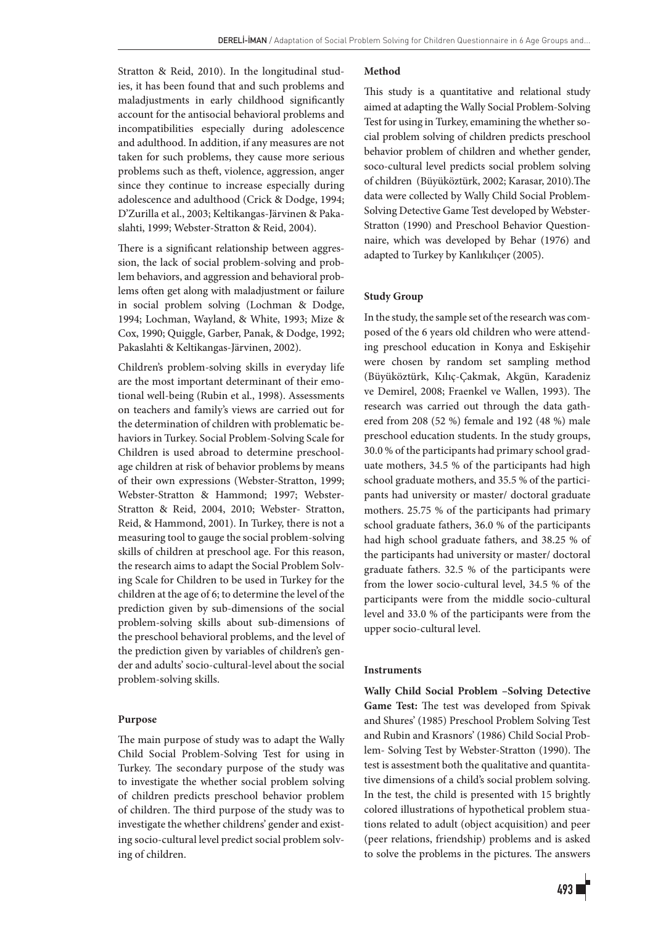Stratton & Reid, 2010). In the longitudinal studies, it has been found that and such problems and maladjustments in early childhood significantly account for the antisocial behavioral problems and incompatibilities especially during adolescence and adulthood. In addition, if any measures are not taken for such problems, they cause more serious problems such as theft, violence, aggression, anger since they continue to increase especially during adolescence and adulthood (Crick & Dodge, 1994; D'Zurilla et al., 2003; Keltikangas-Järvinen & Pakaslahti, 1999; Webster-Stratton & Reid, 2004).

There is a significant relationship between aggression, the lack of social problem-solving and problem behaviors, and aggression and behavioral problems often get along with maladjustment or failure in social problem solving (Lochman & Dodge, 1994; Lochman, Wayland, & White, 1993; Mize & Cox, 1990; Quiggle, Garber, Panak, & Dodge, 1992; Pakaslahti & Keltikangas-Järvinen, 2002).

Children's problem-solving skills in everyday life are the most important determinant of their emotional well-being (Rubin et al., 1998). Assessments on teachers and family's views are carried out for the determination of children with problematic behaviors in Turkey. Social Problem-Solving Scale for Children is used abroad to determine preschoolage children at risk of behavior problems by means of their own expressions (Webster-Stratton, 1999; Webster-Stratton & Hammond; 1997; Webster-Stratton & Reid, 2004, 2010; Webster- Stratton, Reid, & Hammond, 2001). In Turkey, there is not a measuring tool to gauge the social problem-solving skills of children at preschool age. For this reason, the research aims to adapt the Social Problem Solving Scale for Children to be used in Turkey for the children at the age of 6; to determine the level of the prediction given by sub-dimensions of the social problem-solving skills about sub-dimensions of the preschool behavioral problems, and the level of the prediction given by variables of children's gender and adults' socio-cultural-level about the social problem-solving skills.

# **Purpose**

The main purpose of study was to adapt the Wally Child Social Problem-Solving Test for using in Turkey. The secondary purpose of the study was to investigate the whether social problem solving of children predicts preschool behavior problem of children. The third purpose of the study was to investigate the whether childrens' gender and existing socio-cultural level predict social problem solving of children.

# **Method**

This study is a quantitative and relational study aimed at adapting the Wally Social Problem-Solving Test for using in Turkey, emamining the whether social problem solving of children predicts preschool behavior problem of children and whether gender, soco-cultural level predicts social problem solving of children (Büyüköztürk, 2002; Karasar, 2010).The data were collected by Wally Child Social Problem-Solving Detective Game Test developed by Webster-Stratton (1990) and Preschool Behavior Questionnaire, which was developed by Behar (1976) and adapted to Turkey by Kanlıkılıçer (2005).

# **Study Group**

In the study, the sample set of the research was composed of the 6 years old children who were attending preschool education in Konya and Eskişehir were chosen by random set sampling method (Büyüköztürk, Kılıç-Çakmak, Akgün, Karadeniz ve Demirel, 2008; Fraenkel ve Wallen, 1993). The research was carried out through the data gathered from 208 (52 %) female and 192 (48 %) male preschool education students. In the study groups, 30.0 % of the participants had primary school graduate mothers, 34.5 % of the participants had high school graduate mothers, and 35.5 % of the participants had university or master/ doctoral graduate mothers. 25.75 % of the participants had primary school graduate fathers, 36.0 % of the participants had high school graduate fathers, and 38.25 % of the participants had university or master/ doctoral graduate fathers. 32.5 % of the participants were from the lower socio-cultural level, 34.5 % of the participants were from the middle socio-cultural level and 33.0 % of the participants were from the upper socio-cultural level.

#### **Instruments**

**Wally Child Social Problem –Solving Detective Game Test:** The test was developed from Spivak and Shures' (1985) Preschool Problem Solving Test and Rubin and Krasnors' (1986) Child Social Problem- Solving Test by Webster-Stratton (1990). The test is assestment both the qualitative and quantitative dimensions of a child's social problem solving. In the test, the child is presented with 15 brightly colored illustrations of hypothetical problem stuations related to adult (object acquisition) and peer (peer relations, friendship) problems and is asked to solve the problems in the pictures. The answers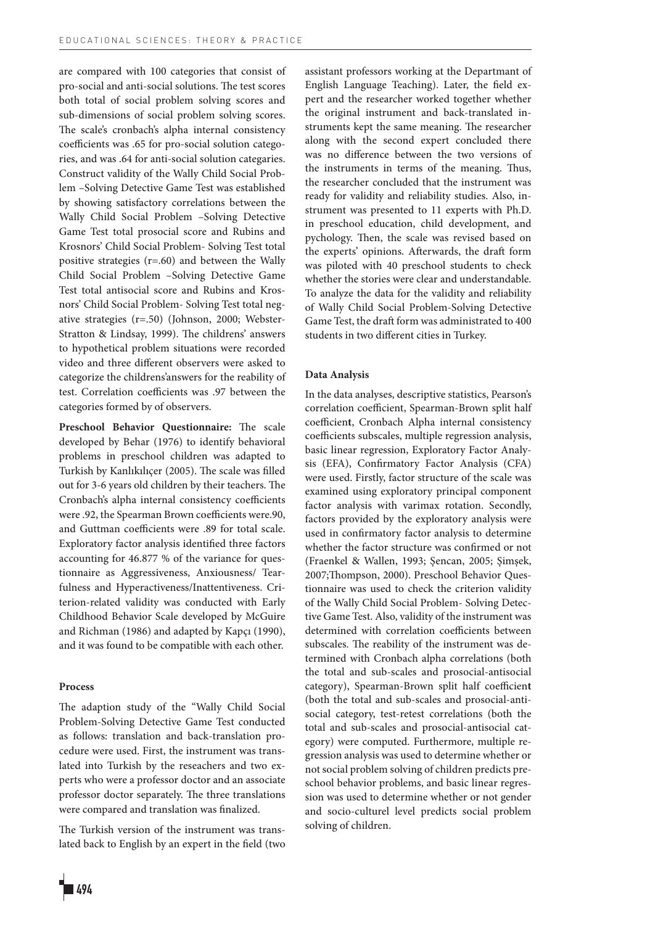are compared with 100 categories that consist of pro-social and anti-social solutions. The test scores both total of social problem solving scores and sub-dimensions of social problem solving scores. The scale's cronbach's alpha internal consistency coefficients was .65 for pro-social solution categories, and was .64 for anti-social solution categaries. Construct validity of the Wally Child Social Problem –Solving Detective Game Test was established by showing satisfactory correlations between the Wally Child Social Problem –Solving Detective Game Test total prosocial score and Rubins and Krosnors' Child Social Problem- Solving Test total positive strategies (r=.60) and between the Wally Child Social Problem –Solving Detective Game Test total antisocial score and Rubins and Krosnors' Child Social Problem- Solving Test total negative strategies (r=.50) (Johnson, 2000; Webster-Stratton & Lindsay, 1999). The childrens' answers to hypothetical problem situations were recorded video and three different observers were asked to categorize the childrens'answers for the reability of test. Correlation coefficients was .97 between the categories formed by of observers.

**Preschool Behavior Questionnaire:** The scale developed by Behar (1976) to identify behavioral problems in preschool children was adapted to Turkish by Kanlıkılıçer (2005). The scale was filled out for 3-6 years old children by their teachers. The Cronbach's alpha internal consistency coefficients were .92, the Spearman Brown coefficients were.90, and Guttman coefficients were .89 for total scale. Exploratory factor analysis identified three factors accounting for 46.877 % of the variance for questionnaire as Aggressiveness, Anxiousness/ Tearfulness and Hyperactiveness/Inattentiveness. Criterion-related validity was conducted with Early Childhood Behavior Scale developed by McGuire and Richman (1986) and adapted by Kapçı (1990), and it was found to be compatible with each other.

### **Process**

The adaption study of the "Wally Child Social Problem-Solving Detective Game Test conducted as follows: translation and back-translation procedure were used. First, the instrument was translated into Turkish by the reseachers and two experts who were a professor doctor and an associate professor doctor separately. The three translations were compared and translation was finalized.

The Turkish version of the instrument was translated back to English by an expert in the field (two



assistant professors working at the Departmant of English Language Teaching). Later, the field expert and the researcher worked together whether the original instrument and back-translated instruments kept the same meaning. The researcher along with the second expert concluded there was no difference between the two versions of the instruments in terms of the meaning. Thus, the researcher concluded that the instrument was ready for validity and reliability studies. Also, instrument was presented to 11 experts with Ph.D. in preschool education, child development, and pychology. Then, the scale was revised based on the experts' opinions. Afterwards, the draft form was piloted with 40 preschool students to check whether the stories were clear and understandable. To analyze the data for the validity and reliability of Wally Child Social Problem-Solving Detective Game Test, the draft form was administrated to 400 students in two different cities in Turkey.

# **Data Analysis**

In the data analyses, descriptive statistics, Pearson's correlation coefficient, Spearman-Brown split half coefficien**t**, Cronbach Alpha internal consistency coefficients subscales, multiple regression analysis, basic linear regression, Exploratory Factor Analysis (EFA), Confirmatory Factor Analysis (CFA) were used. Firstly, factor structure of the scale was examined using exploratory principal component factor analysis with varimax rotation. Secondly, factors provided by the exploratory analysis were used in confirmatory factor analysis to determine whether the factor structure was confirmed or not (Fraenkel & Wallen, 1993; Şencan, 2005; Şimşek, 2007;Thompson, 2000). Preschool Behavior Questionnaire was used to check the criterion validity of the Wally Child Social Problem- Solving Detective Game Test. Also, validity of the instrument was determined with correlation coefficients between subscales. The reability of the instrument was determined with Cronbach alpha correlations (both the total and sub-scales and prosocial-antisocial category), Spearman-Brown split half coefficien**t** (both the total and sub-scales and prosocial-antisocial category, test-retest correlations (both the total and sub-scales and prosocial-antisocial category) were computed. Furthermore, multiple regression analysis was used to determine whether or not social problem solving of children predicts preschool behavior problems, and basic linear regression was used to determine whether or not gender and socio-culturel level predicts social problem solving of children.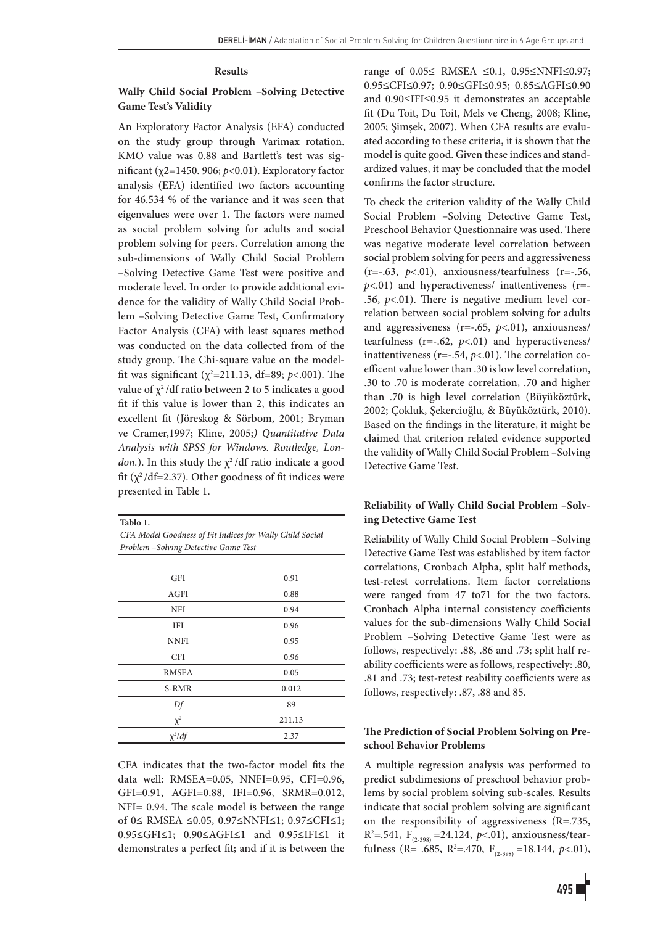#### **Results**

# **Wally Child Social Problem –Solving Detective Game Test's Validity**

An Exploratory Factor Analysis (EFA) conducted on the study group through Varimax rotation. KMO value was 0.88 and Bartlett's test was significant (χ2=1450. 906; *p*<0.01). Exploratory factor analysis (EFA) identified two factors accounting for 46.534 % of the variance and it was seen that eigenvalues were over 1. The factors were named as social problem solving for adults and social problem solving for peers. Correlation among the sub-dimensions of Wally Child Social Problem –Solving Detective Game Test were positive and moderate level. In order to provide additional evidence for the validity of Wally Child Social Problem –Solving Detective Game Test, Confirmatory Factor Analysis (CFA) with least squares method was conducted on the data collected from of the study group. The Chi-square value on the modelfit was significant ( $\chi^2$ =211.13, df=89; *p*<.001). The value of  $\chi^2$ /df ratio between 2 to 5 indicates a good fit if this value is lower than 2, this indicates an excellent fit (Jöreskog & Sörbom, 2001; Bryman ve Cramer,1997; Kline, 2005;*) Quantitative Data Analysis with SPSS for Windows. Routledge, London.*). In this study the  $\chi^2$ /df ratio indicate a good fit ( $\chi^2$ /df=2.37). Other goodness of fit indices were presented in Table 1.

**Tablo 1.**

*CFA Model Goodness of Fit Indices for Wally Child Social Problem –Solving Detective Game Test*

| GFI          | 0.91   |
|--------------|--------|
| <b>AGFI</b>  | 0.88   |
| <b>NFI</b>   | 0.94   |
| <b>IFI</b>   | 0.96   |
| <b>NNFI</b>  | 0.95   |
| <b>CFI</b>   | 0.96   |
| <b>RMSEA</b> | 0.05   |
| S-RMR        | 0.012  |
| Df           | 89     |
| $\chi^2$     | 211.13 |
| $\chi^2$ /df | 2.37   |

CFA indicates that the two-factor model fits the data well: RMSEA=0.05, NNFI=0.95, CFI=0.96, GFI=0.91, AGFI=0.88, IFI=0.96, SRMR=0.012, NFI= 0.94. The scale model is between the range of 0≤ RMSEA ≤0.05, 0.97≤NNFI≤1; 0.97≤CFI≤1; 0.95≤GFI≤1; 0.90≤AGFI≤1 and 0.95≤IFI≤1 it demonstrates a perfect fit; and if it is between the range of 0.05≤ RMSEA ≤0.1, 0.95≤NNFI≤0.97; 0.95≤CFI≤0.97; 0.90≤GFI≤0.95; 0.85≤AGFI≤0.90 and 0.90≤IFI≤0.95 it demonstrates an acceptable fit (Du Toit, Du Toit, Mels ve Cheng, 2008; Kline, 2005; Şimşek, 2007). When CFA results are evaluated according to these criteria, it is shown that the model is quite good. Given these indices and standardized values, it may be concluded that the model confirms the factor structure.

To check the criterion validity of the Wally Child Social Problem –Solving Detective Game Test, Preschool Behavior Questionnaire was used. There was negative moderate level correlation between social problem solving for peers and aggressiveness (r=-.63, *p*<.01), anxiousness/tearfulness (r=-.56, *p*<.01) and hyperactiveness/ inattentiveness (r=- .56,  $p<.01$ ). There is negative medium level correlation between social problem solving for adults and aggressiveness (r=-.65, *p*<.01), anxiousness/ tearfulness (r=-.62, *p*<.01) and hyperactiveness/ inattentiveness (r=-.54, *p*<.01). The correlation coefficent value lower than .30 is low level correlation, .30 to .70 is moderate correlation, .70 and higher than .70 is high level correlation (Büyüköztürk, 2002; Çokluk, Şekercioğlu, & Büyüköztürk, 2010). Based on the findings in the literature, it might be claimed that criterion related evidence supported the validity of Wally Child Social Problem –Solving Detective Game Test.

# **Reliability of Wally Child Social Problem –Solving Detective Game Test**

Reliability of Wally Child Social Problem –Solving Detective Game Test was established by item factor correlations, Cronbach Alpha, split half methods, test-retest correlations. Item factor correlations were ranged from 47 to71 for the two factors. Cronbach Alpha internal consistency coefficients values for the sub-dimensions Wally Child Social Problem –Solving Detective Game Test were as follows, respectively: .88, .86 and .73; split half reability coefficients were as follows, respectively: .80, .81 and .73; test-retest reability coefficients were as follows, respectively: .87, .88 and 85.

# **The Prediction of Social Problem Solving on Preschool Behavior Problems**

A multiple regression analysis was performed to predict subdimesions of preschool behavior problems by social problem solving sub-scales. Results indicate that social problem solving are significant on the responsibility of aggressiveness (R=.735, R2 =.541, F(2-398) =24.124, *p*<.01), anxiousness/tearfulness (R= .685, R<sup>2</sup>=.470, F<sub>(2-398)</sub> =18.144,  $p<01$ ),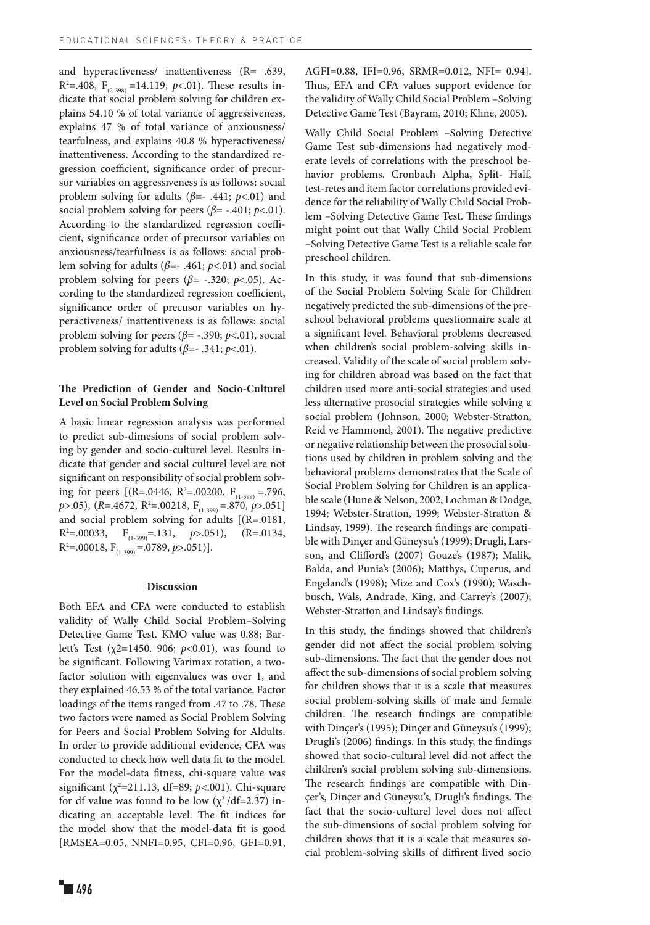and hyperactiveness/ inattentiveness (R= .639,  $R^2 = .408$ ,  $F_{(2.398)} = 14.119$ ,  $p < .01$ ). These results indicate that social problem solving for children explains 54.10 % of total variance of aggressiveness, explains 47 % of total variance of anxiousness/ tearfulness, and explains 40.8 % hyperactiveness/ inattentiveness. According to the standardized regression coefficient, significance order of precursor variables on aggressiveness is as follows: social problem solving for adults (*β*=- .441; *p*<.01) and social problem solving for peers (*β*= -.401; *p*<.01). According to the standardized regression coefficient, significance order of precursor variables on anxiousness/tearfulness is as follows: social problem solving for adults (*β*=- .461; *p*<.01) and social problem solving for peers ( $\beta$ = -.320;  $p$ <.05). According to the standardized regression coefficient, significance order of precusor variables on hyperactiveness/ inattentiveness is as follows: social problem solving for peers (*β*= -.390; *p*<.01), social problem solving for adults (*β*=- .341; *p*<.01).

# **The Prediction of Gender and Socio-Culturel Level on Social Problem Solving**

A basic linear regression analysis was performed to predict sub-dimesions of social problem solving by gender and socio-culturel level. Results indicate that gender and social culturel level are not significant on responsibility of social problem solving for peers [(R=.0446, R<sup>2</sup>=.00200, F<sub>(1-399)</sub> = 796, *p*>.05), (*R*=.4672, R<sup>2</sup>=.00218, F<sub>(1-399)</sub> =.870, *p*>.051] and social problem solving for adults [(R=.0181, R2 =.00033, F(1-399)=.131, *p*>.051), (R=.0134,  $R^2 = .00018$ ,  $F_{(1-399)} = .0789$ ,  $p > .051$ )].

#### **Discussion**

Both EFA and CFA were conducted to establish validity of Wally Child Social Problem–Solving Detective Game Test. KMO value was 0.88; Barlett's Test (χ2=1450. 906; *p*<0.01), was found to be significant. Following Varimax rotation, a twofactor solution with eigenvalues was over 1, and they explained 46.53 % of the total variance. Factor loadings of the items ranged from .47 to .78. These two factors were named as Social Problem Solving for Peers and Social Problem Solving for Aldults. In order to provide additional evidence, CFA was conducted to check how well data fit to the model. For the model-data fitness, chi-square value was significant (χ<sup>2</sup>=211.13, df=89; *p*<.001). Chi-square for df value was found to be low  $(\chi^2/df=2.37)$  indicating an acceptable level. The fit indices for the model show that the model-data fit is good [RMSEA=0.05, NNFI=0.95, CFI=0.96, GFI=0.91,

AGFI=0.88, IFI=0.96, SRMR=0.012, NFI= 0.94]. Thus, EFA and CFA values support evidence for the validity of Wally Child Social Problem –Solving Detective Game Test (Bayram, 2010; Kline, 2005).

Wally Child Social Problem –Solving Detective Game Test sub-dimensions had negatively moderate levels of correlations with the preschool behavior problems. Cronbach Alpha, Split- Half, test-retes and item factor correlations provided evidence for the reliability of Wally Child Social Problem –Solving Detective Game Test. These findings might point out that Wally Child Social Problem –Solving Detective Game Test is a reliable scale for preschool children.

In this study, it was found that sub-dimensions of the Social Problem Solving Scale for Children negatively predicted the sub-dimensions of the preschool behavioral problems questionnaire scale at a significant level. Behavioral problems decreased when children's social problem-solving skills increased. Validity of the scale of social problem solving for children abroad was based on the fact that children used more anti-social strategies and used less alternative prosocial strategies while solving a social problem (Johnson, 2000; Webster-Stratton, Reid ve Hammond, 2001). The negative predictive or negative relationship between the prosocial solutions used by children in problem solving and the behavioral problems demonstrates that the Scale of Social Problem Solving for Children is an applicable scale (Hune & Nelson, 2002; Lochman & Dodge, 1994; Webster-Stratton, 1999; Webster-Stratton & Lindsay, 1999). The research findings are compatible with Dinçer and Güneysu's (1999); Drugli, Larsson, and Clifford's (2007) Gouze's (1987); Malik, Balda, and Punia's (2006); Matthys, Cuperus, and Engeland's (1998); Mize and Cox's (1990); Waschbusch, Wals, Andrade, King, and Carrey's (2007); Webster-Stratton and Lindsay's findings.

In this study, the findings showed that children's gender did not affect the social problem solving sub-dimensions. The fact that the gender does not affect the sub-dimensions of social problem solving for children shows that it is a scale that measures social problem-solving skills of male and female children. The research findings are compatible with Dinçer's (1995); Dinçer and Güneysu's (1999); Drugli's (2006) findings. In this study, the findings showed that socio-cultural level did not affect the children's social problem solving sub-dimensions. The research findings are compatible with Dinçer's, Dinçer and Güneysu's, Drugli's findings. The fact that the socio-culturel level does not affect the sub-dimensions of social problem solving for children shows that it is a scale that measures social problem-solving skills of diffirent lived socio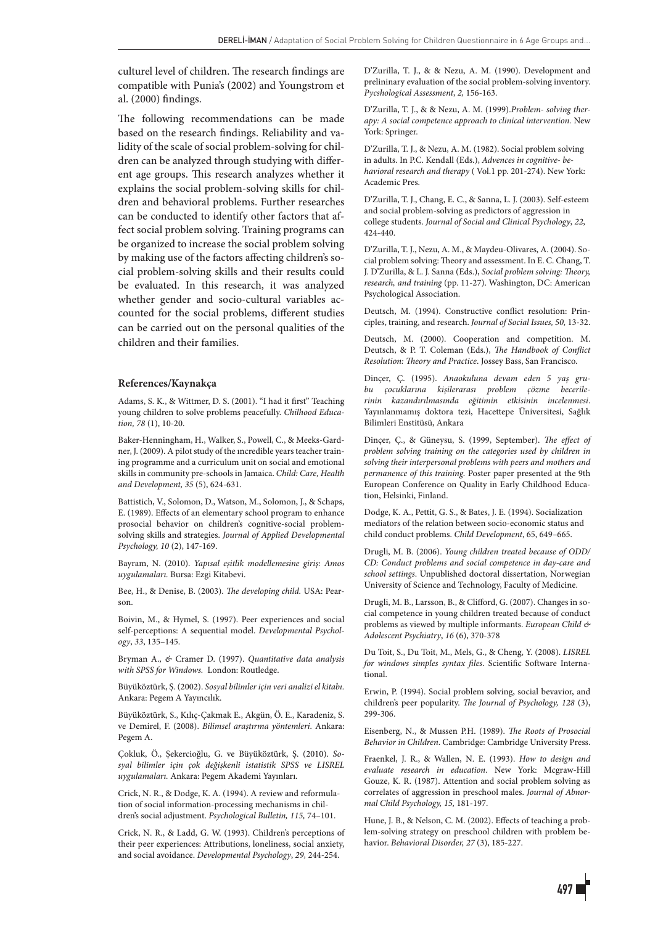culturel level of children. The research findings are compatible with Punia's (2002) and Youngstrom et al. (2000) findings.

The following recommendations can be made based on the research findings. Reliability and validity of the scale of social problem-solving for children can be analyzed through studying with different age groups. This research analyzes whether it explains the social problem-solving skills for children and behavioral problems. Further researches can be conducted to identify other factors that affect social problem solving. Training programs can be organized to increase the social problem solving by making use of the factors affecting children's social problem-solving skills and their results could be evaluated. In this research, it was analyzed whether gender and socio-cultural variables accounted for the social problems, different studies can be carried out on the personal qualities of the children and their families.

#### **References/Kaynakça**

Adams, S. K., & Wittmer, D. S. (2001). "I had it first" Teaching young children to solve problems peacefully. *Chilhood Education, 78* (1), 10-20.

Baker-Henningham, H., Walker, S., Powell, C., & Meeks-Gardner, J. (2009). A pilot study of the ıncredible years teacher training programme and a curriculum unit on social and emotional skills in community pre-schools in Jamaica. *Child: Care, Health and Development, 35* (5), 624-631.

Battistich, V., Solomon, D., Watson, M., Solomon, J., & Schaps, E. (1989). Effects of an elementary school program to enhance prosocial behavior on children's cognitive-social problemsolving skills and strategies. *Journal of Applied Developmental Psychology, 10* (2), 147-169.

Bayram, N. (2010). *Yapısal eşitlik modellemesine giriş: Amos uygulamaları.* Bursa: Ezgi Kitabevi.

Bee, H., & Denise, B. (2003). *The developing child.* USA: Pearson.

Boivin, M., & Hymel, S. (1997). Peer experiences and social self-perceptions: A sequential model. *Developmental Psychology*, *33*, 135–145.

Bryman A., *&* Cramer D. (1997). *Quantitative data analysis with SPSS for Windows.* London: Routledge.

Büyüköztürk, Ş. (2002). *Sosyal bilimler için veri analizi el kitabı.*  Ankara: Pegem A Yayıncılık.

Büyüköztürk, S., Kılıç-Çakmak E., Akgün, Ö. E., Karadeniz, S. ve Demirel, F. (2008). *Bilimsel araştırma yöntemleri*. Ankara: Pegem A.

Çokluk, Ö., Şekercioğlu, G. ve Büyüköztürk, Ş. (2010). *Sosyal bilimler için çok değişkenli istatistik SPSS ve LISREL uygulamaları.* Ankara: Pegem Akademi Yayınları.

Crick, N. R., & Dodge, K. A. (1994). A review and reformulation of social information-processing mechanisms in children's social adjustment. *Psychological Bulletin, 115,* 74–101.

Crick, N. R., & Ladd, G. W. (1993). Children's perceptions of their peer experiences: Attributions, loneliness, social anxiety, and social avoidance. *Developmental Psychology*, *29,* 244-254.

D'Zurilla, T. J., & & Nezu, A. M. (1990). Development and prelininary evaluation of the social problem-solving inventory. *Pycshological Assessment*, *2,* 156-163.

D'Zurilla, T. J., & & Nezu, A. M. (1999).*Problem- solving therapy: A social competence approach to clinical intervention.* New York: Springer.

D'Zurilla, T. J., & Nezu, A. M. (1982). Social problem solving in adults. In P.C. Kendall (Eds.), *Advences in cognitive- behavioral research and therapy* ( Vol.1 pp. 201-274). New York: Academic Pres.

D'Zurilla, T. J., Chang, E. C., & Sanna, L. J. (2003). Self-esteem and social problem-solving as predictors of aggression in college students. *Journal of Social and Clinical Psychology*, *22*, 424-440.

D'Zurilla, T. J., Nezu, A. M., & Maydeu-Olivares, A. (2004). Social problem solving: Theory and assessment. In E. C. Chang, T. J. D'Zurilla, & L. J. Sanna (Eds.), *Social problem solving: Theory, research, and training* (pp. 11-27). Washington, DC: American Psychological Association.

Deutsch, M. (1994). Constructive conflict resolution: Principles, training, and research. *Journal of Social Issues, 50,* 13-32.

Deutsch, M. (2000). Cooperation and competition. M. Deutsch, & P. T. Coleman (Eds.), *The Handbook of Conflict Resolution: Theory and Practice*. Jossey Bass, San Francisco.

Dinçer, Ç. (1995). *Anaokuluna devam eden 5 yaş grubu çocuklarına kişilerarası problem çözme becerilerinin kazandırılmasında eğitimin etkisinin incelenmesi*. Yayınlanmamış doktora tezi, Hacettepe Üniversitesi, Sağlık Bilimleri Enstitüsü, Ankara

Dinçer, Ç., & Güneysu, S. (1999, September). *The effect of problem solving training on the categories used by children in solving their interpersonal problems with peers and mothers and permanence of this training*. Poster paper presented at the 9th European Conference on Quality in Early Childhood Education, Helsinki, Finland.

Dodge, K. A., Pettit, G. S., & Bates, J. E. (1994). Socialization mediators of the relation between socio-economic status and child conduct problems. *Child Development*, 65, 649–665.

Drugli, M. B. (2006). *Young children treated because of ODD/ CD: Conduct problems and social competence in day-care and school settings*. Unpublished doctoral dissertation, Norwegian University of Science and Technology, Faculty of Medicine.

Drugli, M. B., Larsson, B., & Clifford, G. (2007). Changes in social competence in young children treated because of conduct problems as viewed by multiple informants. *European Child & Adolescent Psychiatry*, *16* (6), 370-378

Du Toit, S., Du Toit, M., Mels, G., & Cheng, Y. (2008). *LISREL for windows simples syntax files*. Scientific Software International.

Erwin, P. (1994). Social problem solving, social bevavior, and children's peer popularity. *The Journal of Psychology, 128* (3), 299-306.

Eisenberg, N., & Mussen P.H. (1989). *The Roots of Prosocial Behavior in Children*. Cambridge: Cambridge University Press.

Fraenkel, J. R., & Wallen, N. E. (1993). *How to design and evaluate research in education*. New York: Mcgraw-Hill Gouze, K. R. (1987). Attention and social problem solving as correlates of aggression in preschool males. *Journal of Abnormal Child Psychology, 15,* 181-197.

Hune, J. B., & Nelson, C. M. (2002). Effects of teaching a problem-solving strategy on preschool children with problem behavior. *Behavioral Disorder, 27* (3), 185-227.